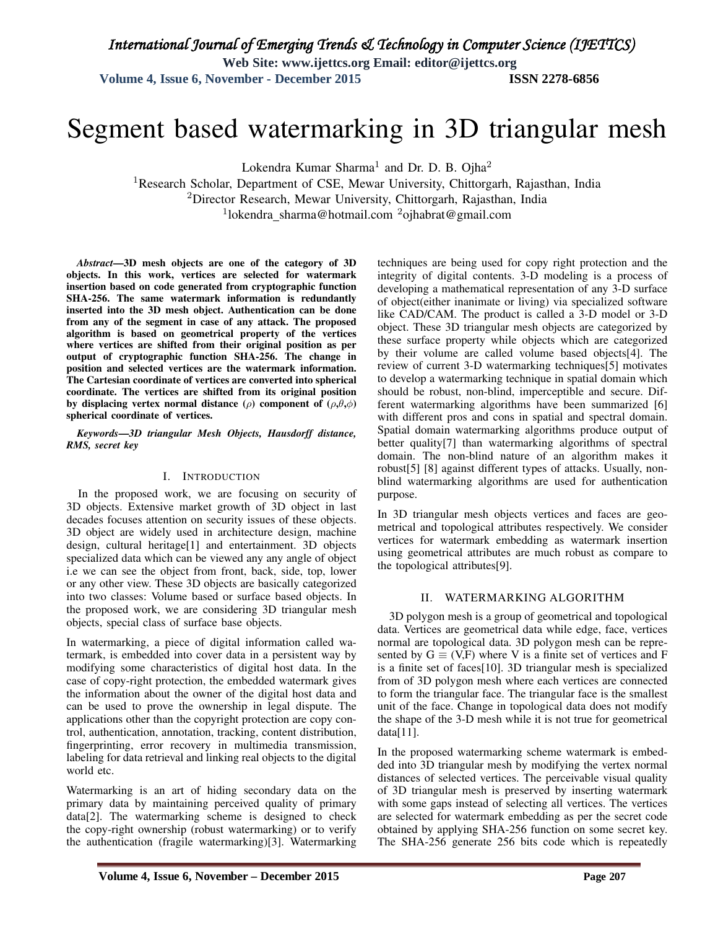**Web Site: www.ijettcs.org Email: editor@ijettcs.org** 

**Volume 4, Issue 6, November - December 2015 ISSN 2278-6856** 

# Segment based watermarking in 3D triangular mesh

Lokendra Kumar Sharma<sup>1</sup> and Dr. D. B. Ojha<sup>2</sup>

<sup>1</sup>Research Scholar, Department of CSE, Mewar University, Chittorgarh, Rajasthan, India <sup>2</sup>Director Research, Mewar University, Chittorgarh, Rajasthan, India <sup>1</sup>lokendra\_sharma@hotmail.com <sup>2</sup>ojhabrat@gmail.com

*Abstract*—3D mesh objects are one of the category of 3D objects. In this work, vertices are selected for watermark insertion based on code generated from cryptographic function SHA-256. The same watermark information is redundantly inserted into the 3D mesh object. Authentication can be done from any of the segment in case of any attack. The proposed algorithm is based on geometrical property of the vertices where vertices are shifted from their original position as per output of cryptographic function SHA-256. The change in position and selected vertices are the watermark information. The Cartesian coordinate of vertices are converted into spherical coordinate. The vertices are shifted from its original position by displacing vertex normal distance ( $\rho$ ) component of ( $\rho$ , $\theta$ , $\phi$ ) spherical coordinate of vertices.

#### *Keywords*—*3D triangular Mesh Objects, Hausdorff distance, RMS, secret key*

#### I. INTRODUCTION

In the proposed work, we are focusing on security of 3D objects. Extensive market growth of 3D object in last decades focuses attention on security issues of these objects. 3D object are widely used in architecture design, machine design, cultural heritage[1] and entertainment. 3D objects specialized data which can be viewed any any angle of object i.e we can see the object from front, back, side, top, lower or any other view. These 3D objects are basically categorized into two classes: Volume based or surface based objects. In the proposed work, we are considering 3D triangular mesh objects, special class of surface base objects.

In watermarking, a piece of digital information called watermark, is embedded into cover data in a persistent way by modifying some characteristics of digital host data. In the case of copy-right protection, the embedded watermark gives the information about the owner of the digital host data and can be used to prove the ownership in legal dispute. The applications other than the copyright protection are copy control, authentication, annotation, tracking, content distribution, fingerprinting, error recovery in multimedia transmission, labeling for data retrieval and linking real objects to the digital world etc.

Watermarking is an art of hiding secondary data on the primary data by maintaining perceived quality of primary data[2]. The watermarking scheme is designed to check the copy-right ownership (robust watermarking) or to verify the authentication (fragile watermarking)[3]. Watermarking

techniques are being used for copy right protection and the integrity of digital contents. 3-D modeling is a process of developing a mathematical representation of any 3-D surface of object(either inanimate or living) via specialized software like CAD/CAM. The product is called a 3-D model or 3-D object. These 3D triangular mesh objects are categorized by these surface property while objects which are categorized by their volume are called volume based objects[4]. The review of current 3-D watermarking techniques[5] motivates to develop a watermarking technique in spatial domain which should be robust, non-blind, imperceptible and secure. Different watermarking algorithms have been summarized [6] with different pros and cons in spatial and spectral domain. Spatial domain watermarking algorithms produce output of better quality[7] than watermarking algorithms of spectral domain. The non-blind nature of an algorithm makes it robust[5] [8] against different types of attacks. Usually, nonblind watermarking algorithms are used for authentication purpose.

In 3D triangular mesh objects vertices and faces are geometrical and topological attributes respectively. We consider vertices for watermark embedding as watermark insertion using geometrical attributes are much robust as compare to the topological attributes[9].

#### II. WATERMARKING ALGORITHM

3D polygon mesh is a group of geometrical and topological data. Vertices are geometrical data while edge, face, vertices normal are topological data. 3D polygon mesh can be represented by  $G \equiv (V, F)$  where V is a finite set of vertices and F is a finite set of faces[10]. 3D triangular mesh is specialized from of 3D polygon mesh where each vertices are connected to form the triangular face. The triangular face is the smallest unit of the face. Change in topological data does not modify the shape of the 3-D mesh while it is not true for geometrical  $data[11]$ .

In the proposed watermarking scheme watermark is embedded into 3D triangular mesh by modifying the vertex normal distances of selected vertices. The perceivable visual quality of 3D triangular mesh is preserved by inserting watermark with some gaps instead of selecting all vertices. The vertices are selected for watermark embedding as per the secret code obtained by applying SHA-256 function on some secret key. The SHA-256 generate 256 bits code which is repeatedly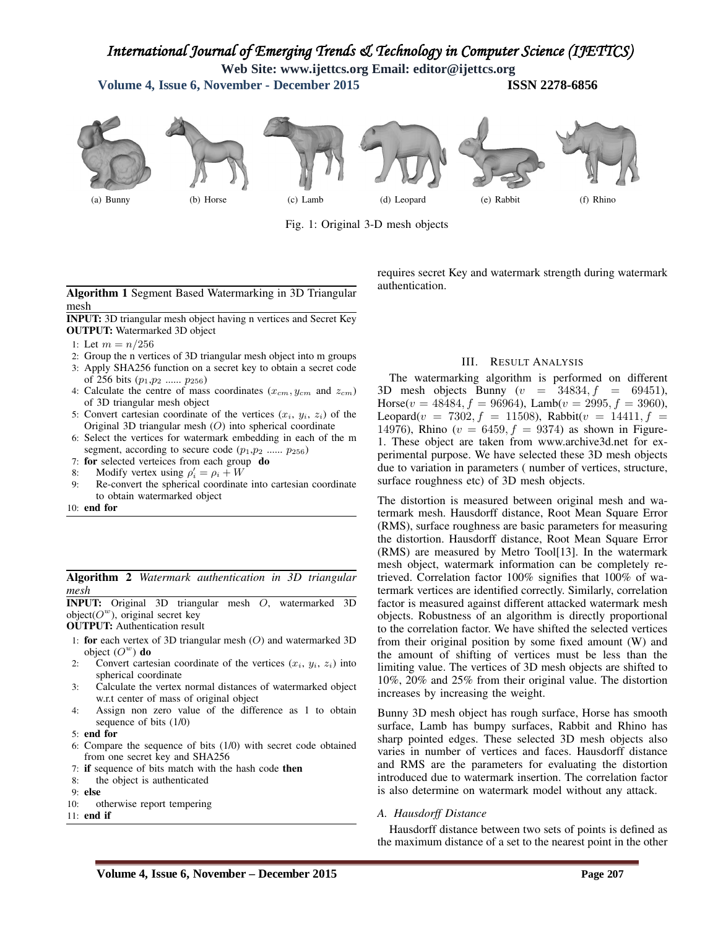## *International Journal of Emerging Trends & Technology in Computer Science (IJETTCS)*

**Web Site: www.ijettcs.org Email: editor@ijettcs.org** 

**Volume 4, Issue 6, November - December 2015 ISSN 2278-6856** 



Fig. 1: Original 3-D mesh objects

#### Algorithm 1 Segment Based Watermarking in 3D Triangular mesh

INPUT: 3D triangular mesh object having n vertices and Secret Key OUTPUT: Watermarked 3D object

- 1: Let  $m = n/256$
- 2: Group the n vertices of 3D triangular mesh object into m groups
- 3: Apply SHA256 function on a secret key to obtain a secret code of 256 bits  $(p_1, p_2, \ldots, p_{256})$
- 4: Calculate the centre of mass coordinates  $(x_{cm}, y_{cm}$  and  $z_{cm})$ of 3D triangular mesh object
- 5: Convert cartesian coordinate of the vertices  $(x_i, y_i, z_i)$  of the Original 3D triangular mesh (O) into spherical coordinate
- 6: Select the vertices for watermark embedding in each of the m segment, according to secure code  $(p_1, p_2$  ......  $p_{256})$
- 7: for selected verteices from each group do
- 8: Modify vertex using  $\rho'_i = \rho_i + W$
- 9: Re-convert the spherical coordinate into cartesian coordinate to obtain watermarked object
- 10: end for

Algorithm 2 *Watermark authentication in 3D triangular mesh*

INPUT: Original 3D triangular mesh O, watermarked 3D object( $O^w$ ), original secret key

OUTPUT: Authentication result

- 1: for each vertex of 3D triangular mesh  $(O)$  and watermarked 3D object  $(O^w)$  do
- 2: Convert cartesian coordinate of the vertices  $(x_i, y_i, z_i)$  into spherical coordinate
- 3: Calculate the vertex normal distances of watermarked object w.r.t center of mass of original object
- 4: Assign non zero value of the difference as 1 to obtain sequence of bits (1/0)
- 5: end for
- 6: Compare the sequence of bits (1/0) with secret code obtained from one secret key and SHA256
- 7: if sequence of bits match with the hash code then
- 8: the object is authenticated
- 9: else
- 10: otherwise report tempering
- 11: end if

requires secret Key and watermark strength during watermark authentication.

#### III. RESULT ANALYSIS

The watermarking algorithm is performed on different 3D mesh objects Bunny  $(v = 34834, f = 69451)$ , Horse( $v = 48484$ ,  $f = 96964$ ), Lamb( $v = 2995$ ,  $f = 3960$ ), Leopard( $v = 7302, f = 11508$ ), Rabbit( $v = 14411, f =$ 14976), Rhino ( $v = 6459, f = 9374$ ) as shown in Figure-1. These object are taken from www.archive3d.net for experimental purpose. We have selected these 3D mesh objects due to variation in parameters ( number of vertices, structure, surface roughness etc) of 3D mesh objects.

The distortion is measured between original mesh and watermark mesh. Hausdorff distance, Root Mean Square Error (RMS), surface roughness are basic parameters for measuring the distortion. Hausdorff distance, Root Mean Square Error (RMS) are measured by Metro Tool[13]. In the watermark mesh object, watermark information can be completely retrieved. Correlation factor 100% signifies that 100% of watermark vertices are identified correctly. Similarly, correlation factor is measured against different attacked watermark mesh objects. Robustness of an algorithm is directly proportional to the correlation factor. We have shifted the selected vertices from their original position by some fixed amount (W) and the amount of shifting of vertices must be less than the limiting value. The vertices of 3D mesh objects are shifted to 10%, 20% and 25% from their original value. The distortion increases by increasing the weight.

Bunny 3D mesh object has rough surface, Horse has smooth surface, Lamb has bumpy surfaces, Rabbit and Rhino has sharp pointed edges. These selected 3D mesh objects also varies in number of vertices and faces. Hausdorff distance and RMS are the parameters for evaluating the distortion introduced due to watermark insertion. The correlation factor is also determine on watermark model without any attack.

#### *A. Hausdorff Distance*

Hausdorff distance between two sets of points is defined as the maximum distance of a set to the nearest point in the other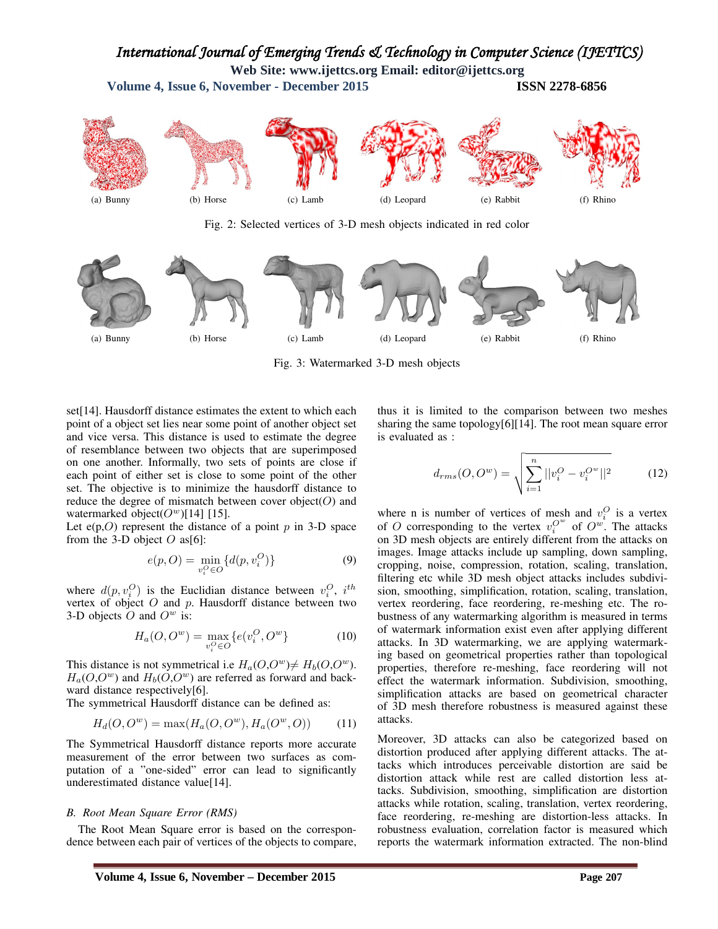### *International Journal of Emerging Trends & Technology in Computer Science (IJETTCS)*

**Web Site: www.ijettcs.org Email: editor@ijettcs.org** 

**Volume 4, Issue 6, November - December 2015 ISSN 2278-6856** 



Fig. 2: Selected vertices of 3-D mesh objects indicated in red color



Fig. 3: Watermarked 3-D mesh objects

set[14]. Hausdorff distance estimates the extent to which each point of a object set lies near some point of another object set and vice versa. This distance is used to estimate the degree of resemblance between two objects that are superimposed on one another. Informally, two sets of points are close if each point of either set is close to some point of the other set. The objective is to minimize the hausdorff distance to reduce the degree of mismatch between cover object( $O$ ) and watermarked object( $O^w$ )[14] [15].

Let  $e(p,0)$  represent the distance of a point p in 3-D space from the 3-D object  $O$  as[6]:

$$
e(p, O) = \min_{v_i^O \in O} \{d(p, v_i^O)\}
$$
\n(9)

where  $d(p, v_i^O)$  is the Euclidian distance between  $v_i^O$ ,  $i^{th}$ vertex of object  $O$  and  $p$ . Hausdorff distance between two 3-D objects  $O$  and  $O^w$  is:

$$
H_a(O, O^w) = \max_{v_i^O \in O} \{e(v_i^O, O^w)\}
$$
 (10)

This distance is not symmetrical i.e  $H_a(O, O^w) \neq H_b(O, O^w)$ .  $H_a(O,O^w)$  and  $H_b(O,O^w)$  are referred as forward and backward distance respectively[6].

The symmetrical Hausdorff distance can be defined as:

$$
H_d(O, O^w) = \max(H_a(O, O^w), H_a(O^w, O))
$$
 (11)

The Symmetrical Hausdorff distance reports more accurate measurement of the error between two surfaces as computation of a "one-sided" error can lead to significantly underestimated distance value[14].

#### *B. Root Mean Square Error (RMS)*

The Root Mean Square error is based on the correspondence between each pair of vertices of the objects to compare,

thus it is limited to the comparison between two meshes sharing the same topology[6][14]. The root mean square error is evaluated as :

$$
d_{rms}(O, O^w) = \sqrt{\sum_{i=1}^{n} ||v_i^O - v_i^{O^w}||^2}
$$
 (12)

where n is number of vertices of mesh and  $v_i^O$  is a vertex of O corresponding to the vertex  $v_i^{O^w}$  of  $O^w$ . The attacks on 3D mesh objects are entirely different from the attacks on images. Image attacks include up sampling, down sampling, cropping, noise, compression, rotation, scaling, translation, filtering etc while 3D mesh object attacks includes subdivision, smoothing, simplification, rotation, scaling, translation, vertex reordering, face reordering, re-meshing etc. The robustness of any watermarking algorithm is measured in terms of watermark information exist even after applying different attacks. In 3D watermarking, we are applying watermarking based on geometrical properties rather than topological properties, therefore re-meshing, face reordering will not effect the watermark information. Subdivision, smoothing, simplification attacks are based on geometrical character of 3D mesh therefore robustness is measured against these attacks.

Moreover, 3D attacks can also be categorized based on distortion produced after applying different attacks. The attacks which introduces perceivable distortion are said be distortion attack while rest are called distortion less attacks. Subdivision, smoothing, simplification are distortion attacks while rotation, scaling, translation, vertex reordering, face reordering, re-meshing are distortion-less attacks. In robustness evaluation, correlation factor is measured which reports the watermark information extracted. The non-blind